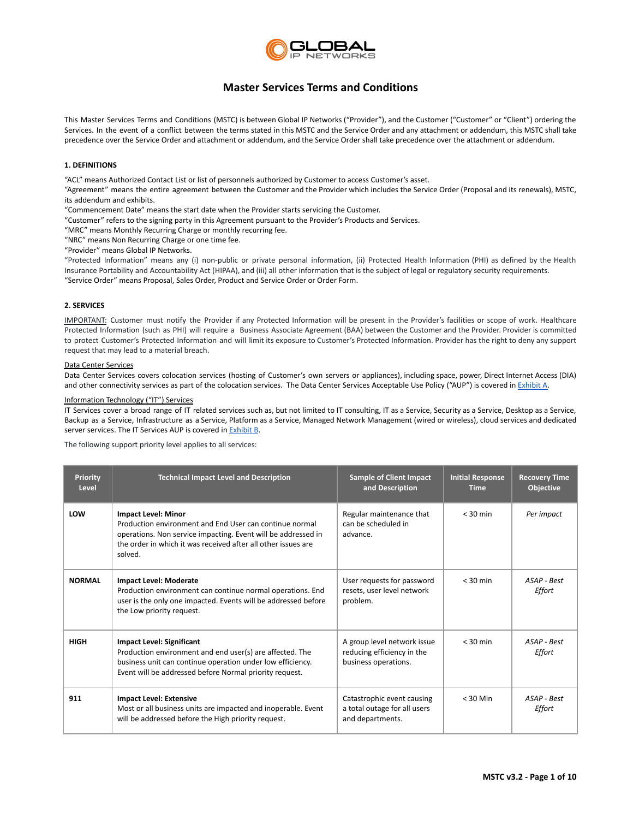

## **Master Services Terms and Conditions**

This Master Services Terms and Conditions (MSTC) is between Global IP Networks ("Provider"), and the Customer ("Customer" or "Client") ordering the Services. In the event of a conflict between the terms stated in this MSTC and the Service Order and any attachment or addendum, this MSTC shall take precedence over the Service Order and attachment or addendum, and the Service Order shall take precedence over the attachment or addendum.

## **1. DEFINITIONS**

"ACL" means Authorized Contact List or list of personnels authorized by Customer to access Customer's asset.

"Agreement" means the entire agreement between the Customer and the Provider which includes the Service Order (Proposal and its renewals), MSTC, its addendum and exhibits.

"Commencement Date" means the start date when the Provider starts servicing the Customer.

"Customer" refers to the signing party in this Agreement pursuant to the Provider's Products and Services.

"MRC" means Monthly Recurring Charge or monthly recurring fee.

"NRC" means Non Recurring Charge or one time fee.

"Provider" means Global IP Networks.

"Protected Information" means any (i) non-public or private personal information, (ii) Protected Health Information (PHI) as defined by the Health Insurance Portability and Accountability Act (HIPAA), and (iii) all other information that is the subject of legal or regulatory security requirements. "Service Order" means Proposal, Sales Order, Product and Service Order or Order Form.

## **2. SERVICES**

IMPORTANT: Customer must notify the Provider if any Protected Information will be present in the Provider's facilities or scope of work. Healthcare Protected Information (such as PHI) will require a Business Associate Agreement (BAA) between the Customer and the Provider. Provider is committed to protect Customer's Protected Information and will limit its exposure to Customer's Protected Information. Provider has the right to deny any support request that may lead to a material breach.

## Data Center Services

Data Center Services covers colocation services (hosting of Customer's own servers or appliances), including space, power, Direct Internet Access (DIA) and other connectivity services as part of the colocation services. The Data Center Services Acceptable Use Policy ("AUP") is covered in [Exhibit](#page-5-0) A.

## Information Technology ("IT") Services

IT Services cover a broad range of IT related services such as, but not limited to IT consulting, IT as a Service, Security as a Service, Desktop as a Service, Backup as a Service, Infrastructure as a Service, Platform as a Service, Managed Network Management (wired or wireless), cloud services and dedicated server services. The IT Services AUP is covered in Exhibit B.

The following support priority level applies to all services:

| <b>Priority</b><br>Level | <b>Technical Impact Level and Description</b>                                                                                                                                                                                      | <b>Sample of Client Impact</b><br>and Description                                 | <b>Initial Response</b><br><b>Time</b> | <b>Recovery Time</b><br>Objective |
|--------------------------|------------------------------------------------------------------------------------------------------------------------------------------------------------------------------------------------------------------------------------|-----------------------------------------------------------------------------------|----------------------------------------|-----------------------------------|
| LOW                      | <b>Impact Level: Minor</b><br>Production environment and End User can continue normal<br>operations. Non service impacting. Event will be addressed in<br>the order in which it was received after all other issues are<br>solved. | Regular maintenance that<br>can be scheduled in<br>advance.                       | $<$ 30 min                             | Per impact                        |
| <b>NORMAL</b>            | <b>Impact Level: Moderate</b><br>Production environment can continue normal operations. End<br>user is the only one impacted. Events will be addressed before<br>the Low priority request.                                         | User requests for password<br>resets, user level network<br>problem.              | $<$ 30 min                             | ASAP - Best<br>Effort             |
| <b>HIGH</b>              | <b>Impact Level: Significant</b><br>Production environment and end user(s) are affected. The<br>business unit can continue operation under low efficiency.<br>Event will be addressed before Normal priority request.              | A group level network issue<br>reducing efficiency in the<br>business operations. | $<$ 30 min                             | ASAP - Best<br>Effort             |
| 911                      | <b>Impact Level: Extensive</b><br>Most or all business units are impacted and inoperable. Event<br>will be addressed before the High priority request.                                                                             | Catastrophic event causing<br>a total outage for all users<br>and departments.    | $<$ 30 Min                             | ASAP - Best<br>Effort             |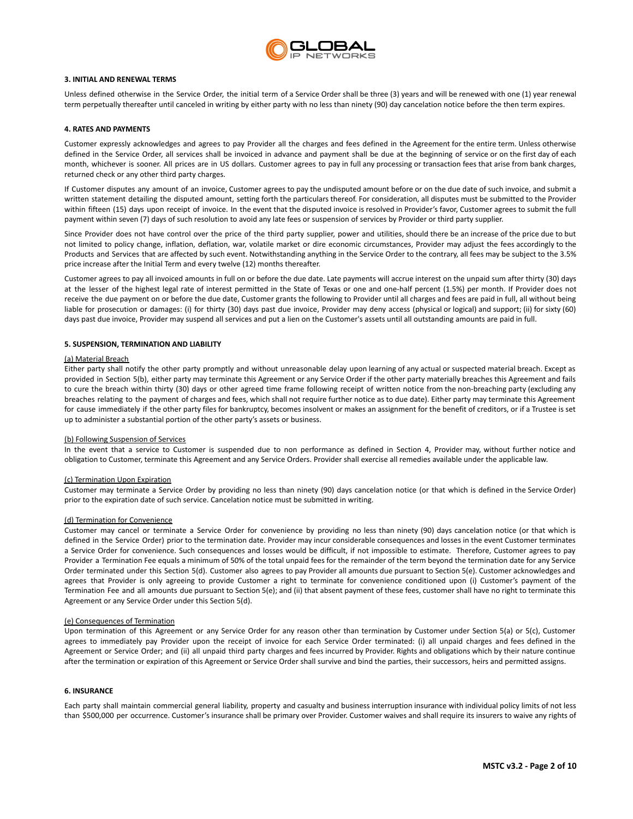

## **3. INITIAL AND RENEWAL TERMS**

Unless defined otherwise in the Service Order, the initial term of a Service Order shall be three (3) years and will be renewed with one (1) year renewal term perpetually thereafter until canceled in writing by either party with no less than ninety (90) day cancelation notice before the then term expires.

## **4. RATES AND PAYMENTS**

Customer expressly acknowledges and agrees to pay Provider all the charges and fees defined in the Agreement for the entire term. Unless otherwise defined in the Service Order, all services shall be invoiced in advance and payment shall be due at the beginning of service or on the first day of each month, whichever is sooner. All prices are in US dollars. Customer agrees to pay in full any processing or transaction fees that arise from bank charges, returned check or any other third party charges.

If Customer disputes any amount of an invoice, Customer agrees to pay the undisputed amount before or on the due date of such invoice, and submit a written statement detailing the disputed amount, setting forth the particulars thereof. For consideration, all disputes must be submitted to the Provider within fifteen (15) days upon receipt of invoice. In the event that the disputed invoice is resolved in Provider's favor, Customer agrees to submit the full payment within seven (7) days of such resolution to avoid any late fees or suspension of services by Provider or third party supplier.

Since Provider does not have control over the price of the third party supplier, power and utilities, should there be an increase of the price due to but not limited to policy change, inflation, deflation, war, volatile market or dire economic circumstances, Provider may adjust the fees accordingly to the Products and Services that are affected by such event. Notwithstanding anything in the Service Order to the contrary, all fees may be subject to the 3.5% price increase after the Initial Term and every twelve (12) months thereafter.

Customer agrees to pay all invoiced amounts in full on or before the due date. Late payments will accrue interest on the unpaid sum after thirty (30) days at the lesser of the highest legal rate of interest permitted in the State of Texas or one and one-half percent (1.5%) per month. If Provider does not receive the due payment on or before the due date, Customer grants the following to Provider until all charges and fees are paid in full, all without being liable for prosecution or damages: (i) for thirty (30) days past due invoice, Provider may deny access (physical or logical) and support; (ii) for sixty (60) days past due invoice, Provider may suspend all services and put a lien on the Customer's assets until all outstanding amounts are paid in full.

#### **5. SUSPENSION, TERMINATION AND LIABILITY**

## (a) Material Breach

Either party shall notify the other party promptly and without unreasonable delay upon learning of any actual or suspected material breach. Except as provided in Section 5(b), either party may terminate this Agreement or any Service Order if the other party materially breaches this Agreement and fails to cure the breach within thirty (30) days or other agreed time frame following receipt of written notice from the non-breaching party (excluding any breaches relating to the payment of charges and fees, which shall not require further notice as to due date). Either party may terminate this Agreement for cause immediately if the other party files for bankruptcy, becomes insolvent or makes an assignment for the benefit of creditors, or if a Trustee is set up to administer a substantial portion of the other party's assets or business.

#### (b) Following Suspension of Services

In the event that a service to Customer is suspended due to non performance as defined in Section 4, Provider may, without further notice and obligation to Customer, terminate this Agreement and any Service Orders. Provider shall exercise all remedies available under the applicable law.

## (c) Termination Upon Expiration

Customer may terminate a Service Order by providing no less than ninety (90) days cancelation notice (or that which is defined in the Service Order) prior to the expiration date of such service. Cancelation notice must be submitted in writing.

#### (d) Termination for Convenience

Customer may cancel or terminate a Service Order for convenience by providing no less than ninety (90) days cancelation notice (or that which is defined in the Service Order) prior to the termination date. Provider may incur considerable consequences and losses in the event Customer terminates a Service Order for convenience. Such consequences and losses would be difficult, if not impossible to estimate. Therefore, Customer agrees to pay Provider a Termination Fee equals a minimum of 50% of the total unpaid fees for the remainder of the term beyond the termination date for any Service Order terminated under this Section 5(d). Customer also agrees to pay Provider all amounts due pursuant to Section 5(e). Customer acknowledges and agrees that Provider is only agreeing to provide Customer a right to terminate for convenience conditioned upon (i) Customer's payment of the Termination Fee and all amounts due pursuant to Section 5(e); and (ii) that absent payment of these fees, customer shall have no right to terminate this Agreement or any Service Order under this Section 5(d).

#### (e) Consequences of Termination

Upon termination of this Agreement or any Service Order for any reason other than termination by Customer under Section 5(a) or 5(c), Customer agrees to immediately pay Provider upon the receipt of invoice for each Service Order terminated: (i) all unpaid charges and fees defined in the Agreement or Service Order; and (ii) all unpaid third party charges and fees incurred by Provider. Rights and obligations which by their nature continue after the termination or expiration of this Agreement or Service Order shall survive and bind the parties, their successors, heirs and permitted assigns.

#### **6. INSURANCE**

Each party shall maintain commercial general liability, property and casualty and business interruption insurance with individual policy limits of not less than \$500,000 per occurrence. Customer's insurance shall be primary over Provider. Customer waives and shall require its insurers to waive any rights of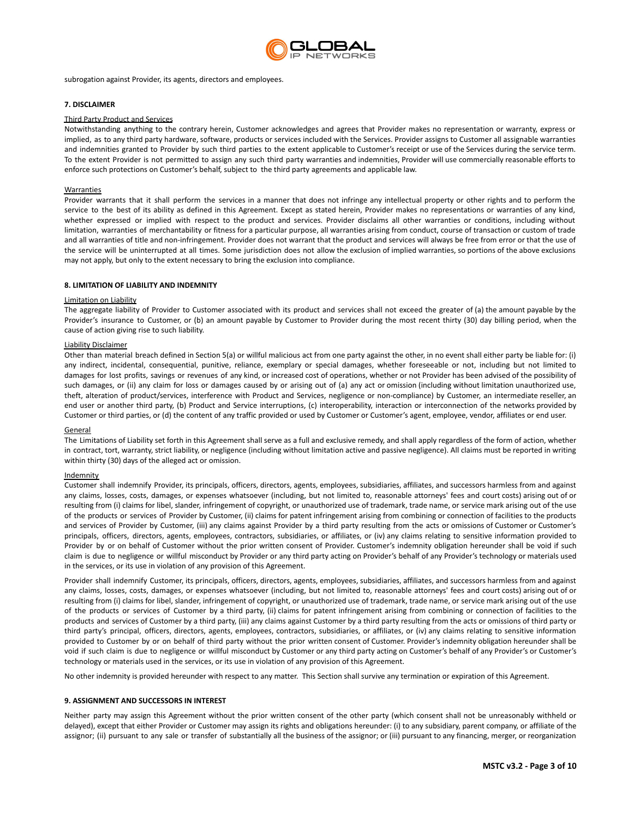

subrogation against Provider, its agents, directors and employees.

## **7. DISCLAIMER**

## Third Party Product and Services

Notwithstanding anything to the contrary herein, Customer acknowledges and agrees that Provider makes no representation or warranty, express or implied, as to any third party hardware, software, products or services included with the Services. Provider assigns to Customer all assignable warranties and indemnities granted to Provider by such third parties to the extent applicable to Customer's receipt or use of the Services during the service term. To the extent Provider is not permitted to assign any such third party warranties and indemnities, Provider will use commercially reasonable efforts to enforce such protections on Customer's behalf, subject to the third party agreements and applicable law.

#### Warranties

Provider warrants that it shall perform the services in a manner that does not infringe any intellectual property or other rights and to perform the service to the best of its ability as defined in this Agreement. Except as stated herein, Provider makes no representations or warranties of any kind, whether expressed or implied with respect to the product and services. Provider disclaims all other warranties or conditions, including without limitation, warranties of merchantability or fitness for a particular purpose, all warranties arising from conduct, course of transaction or custom of trade and all warranties of title and non-infringement. Provider does not warrant that the product and services will always be free from error or that the use of the service will be uninterrupted at all times. Some jurisdiction does not allow the exclusion of implied warranties, so portions of the above exclusions may not apply, but only to the extent necessary to bring the exclusion into compliance.

## **8. LIMITATION OF LIABILITY AND INDEMNITY**

#### Limitation on Liability

The aggregate liability of Provider to Customer associated with its product and services shall not exceed the greater of (a) the amount payable by the Provider's insurance to Customer, or (b) an amount payable by Customer to Provider during the most recent thirty (30) day billing period, when the cause of action giving rise to such liability.

## Liability Disclaimer

Other than material breach defined in Section 5(a) or willful malicious act from one party against the other, in no event shall either party be liable for: (i) any indirect, incidental, consequential, punitive, reliance, exemplary or special damages, whether foreseeable or not, including but not limited to damages for lost profits, savings or revenues of any kind, or increased cost of operations, whether or not Provider has been advised of the possibility of such damages, or (ii) any claim for loss or damages caused by or arising out of (a) any act or omission (including without limitation unauthorized use, theft, alteration of product/services, interference with Product and Services, negligence or non-compliance) by Customer, an intermediate reseller, an end user or another third party, (b) Product and Service interruptions, (c) interoperability, interaction or interconnection of the networks provided by Customer or third parties, or (d) the content of any traffic provided or used by Customer or Customer's agent, employee, vendor, affiliates or end user.

## General

The Limitations of Liability set forth in this Agreement shall serve as a full and exclusive remedy, and shall apply regardless of the form of action, whether in contract, tort, warranty, strict liability, or negligence (including without limitation active and passive negligence). All claims must be reported in writing within thirty (30) days of the alleged act or omission.

## Indemnity

Customer shall indemnify Provider, its principals, officers, directors, agents, employees, subsidiaries, affiliates, and successors harmless from and against any claims, losses, costs, damages, or expenses whatsoever (including, but not limited to, reasonable attorneys' fees and court costs) arising out of or resulting from (i) claims for libel, slander, infringement of copyright, or unauthorized use of trademark, trade name, or service mark arising out of the use of the products or services of Provider by Customer, (ii) claims for patent infringement arising from combining or connection of facilities to the products and services of Provider by Customer, (iii) any claims against Provider by a third party resulting from the acts or omissions of Customer or Customer's principals, officers, directors, agents, employees, contractors, subsidiaries, or affiliates, or (iv) any claims relating to sensitive information provided to Provider by or on behalf of Customer without the prior written consent of Provider. Customer's indemnity obligation hereunder shall be void if such claim is due to negligence or willful misconduct by Provider or any third party acting on Provider's behalf of any Provider's technology or materials used in the services, or its use in violation of any provision of this Agreement.

Provider shall indemnify Customer, its principals, officers, directors, agents, employees, subsidiaries, affiliates, and successors harmless from and against any claims, losses, costs, damages, or expenses whatsoever (including, but not limited to, reasonable attorneys' fees and court costs) arising out of or resulting from (i) claims for libel, slander, infringement of copyright, or unauthorized use of trademark, trade name, or service mark arising out of the use of the products or services of Customer by a third party, (ii) claims for patent infringement arising from combining or connection of facilities to the products and services of Customer by a third party, (iii) any claims against Customer by a third party resulting from the acts or omissions of third party or third party's principal, officers, directors, agents, employees, contractors, subsidiaries, or affiliates, or (iv) any claims relating to sensitive information provided to Customer by or on behalf of third party without the prior written consent of Customer. Provider's indemnity obligation hereunder shall be void if such claim is due to negligence or willful misconduct by Customer or any third party acting on Customer's behalf of any Provider's or Customer's technology or materials used in the services, or its use in violation of any provision of this Agreement.

No other indemnity is provided hereunder with respect to any matter. This Section shall survive any termination or expiration of this Agreement.

#### **9. ASSIGNMENT AND SUCCESSORS IN INTEREST**

Neither party may assign this Agreement without the prior written consent of the other party (which consent shall not be unreasonably withheld or delayed), except that either Provider or Customer may assign its rights and obligations hereunder: (i) to any subsidiary, parent company, or affiliate of the assignor; (ii) pursuant to any sale or transfer of substantially all the business of the assignor; or (iii) pursuant to any financing, merger, or reorganization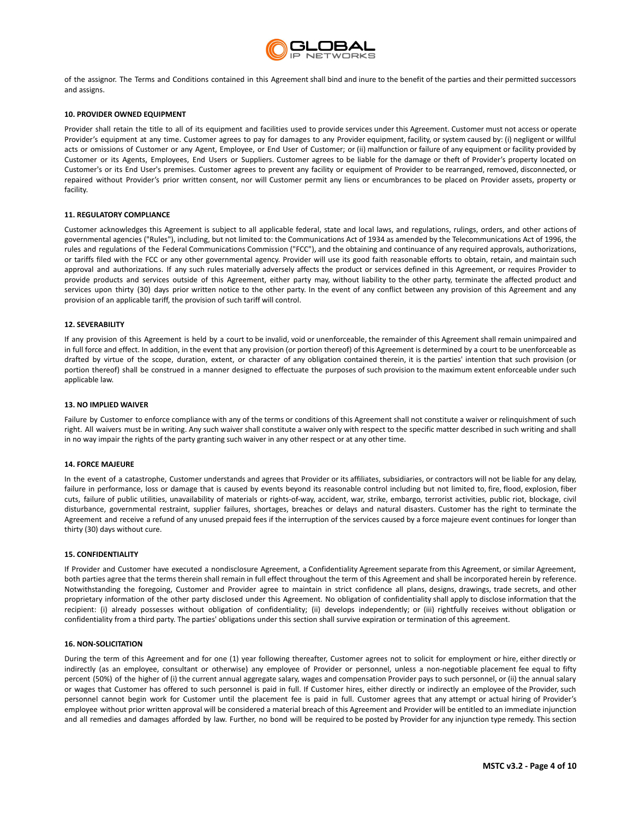

of the assignor. The Terms and Conditions contained in this Agreement shall bind and inure to the benefit of the parties and their permitted successors and assigns.

## **10. PROVIDER OWNED EQUIPMENT**

Provider shall retain the title to all of its equipment and facilities used to provide services under this Agreement. Customer must not access or operate Provider's equipment at any time. Customer agrees to pay for damages to any Provider equipment, facility, or system caused by: (i) negligent or willful acts or omissions of Customer or any Agent, Employee, or End User of Customer; or (ii) malfunction or failure of any equipment or facility provided by Customer or its Agents, Employees, End Users or Suppliers. Customer agrees to be liable for the damage or theft of Provider's property located on Customer's or its End User's premises. Customer agrees to prevent any facility or equipment of Provider to be rearranged, removed, disconnected, or repaired without Provider's prior written consent, nor will Customer permit any liens or encumbrances to be placed on Provider assets, property or facility.

## **11. REGULATORY COMPLIANCE**

Customer acknowledges this Agreement is subject to all applicable federal, state and local laws, and regulations, rulings, orders, and other actions of governmental agencies ("Rules"), including, but not limited to: the Communications Act of 1934 as amended by the Telecommunications Act of 1996, the rules and regulations of the Federal Communications Commission ("FCC"), and the obtaining and continuance of any required approvals, authorizations, or tariffs filed with the FCC or any other governmental agency. Provider will use its good faith reasonable efforts to obtain, retain, and maintain such approval and authorizations. If any such rules materially adversely affects the product or services defined in this Agreement, or requires Provider to provide products and services outside of this Agreement, either party may, without liability to the other party, terminate the affected product and services upon thirty (30) days prior written notice to the other party. In the event of any conflict between any provision of this Agreement and any provision of an applicable tariff, the provision of such tariff will control.

## **12. SEVERABILITY**

If any provision of this Agreement is held by a court to be invalid, void or unenforceable, the remainder of this Agreement shall remain unimpaired and in full force and effect. In addition, in the event that any provision (or portion thereof) of this Agreement is determined by a court to be unenforceable as drafted by virtue of the scope, duration, extent, or character of any obligation contained therein, it is the parties' intention that such provision (or portion thereof) shall be construed in a manner designed to effectuate the purposes of such provision to the maximum extent enforceable under such applicable law.

#### **13. NO IMPLIED WAIVER**

Failure by Customer to enforce compliance with any of the terms or conditions of this Agreement shall not constitute a waiver or relinquishment of such right. All waivers must be in writing. Any such waiver shall constitute a waiver only with respect to the specific matter described in such writing and shall in no way impair the rights of the party granting such waiver in any other respect or at any other time.

## **14. FORCE MAJEURE**

In the event of a catastrophe, Customer understands and agrees that Provider or its affiliates, subsidiaries, or contractors will not be liable for any delay, failure in performance, loss or damage that is caused by events beyond its reasonable control including but not limited to, fire, flood, explosion, fiber cuts, failure of public utilities, unavailability of materials or rights-of-way, accident, war, strike, embargo, terrorist activities, public riot, blockage, civil disturbance, governmental restraint, supplier failures, shortages, breaches or delays and natural disasters. Customer has the right to terminate the Agreement and receive a refund of any unused prepaid fees if the interruption of the services caused by a force majeure event continues for longer than thirty (30) days without cure.

#### **15. CONFIDENTIALITY**

If Provider and Customer have executed a nondisclosure Agreement, a Confidentiality Agreement separate from this Agreement, or similar Agreement, both parties agree that the terms therein shall remain in full effect throughout the term of this Agreement and shall be incorporated herein by reference. Notwithstanding the foregoing, Customer and Provider agree to maintain in strict confidence all plans, designs, drawings, trade secrets, and other proprietary information of the other party disclosed under this Agreement. No obligation of confidentiality shall apply to disclose information that the recipient: (i) already possesses without obligation of confidentiality; (ii) develops independently; or (iii) rightfully receives without obligation or confidentiality from a third party. The parties' obligations under this section shall survive expiration or termination of this agreement.

## **16. NON-SOLICITATION**

During the term of this Agreement and for one (1) year following thereafter, Customer agrees not to solicit for employment or hire, either directly or indirectly (as an employee, consultant or otherwise) any employee of Provider or personnel, unless a non-negotiable placement fee equal to fifty percent (50%) of the higher of (i) the current annual aggregate salary, wages and compensation Provider pays to such personnel, or (ii) the annual salary or wages that Customer has offered to such personnel is paid in full. If Customer hires, either directly or indirectly an employee of the Provider, such personnel cannot begin work for Customer until the placement fee is paid in full. Customer agrees that any attempt or actual hiring of Provider's employee without prior written approval will be considered a material breach of this Agreement and Provider will be entitled to an immediate injunction and all remedies and damages afforded by law. Further, no bond will be required to be posted by Provider for any injunction type remedy. This section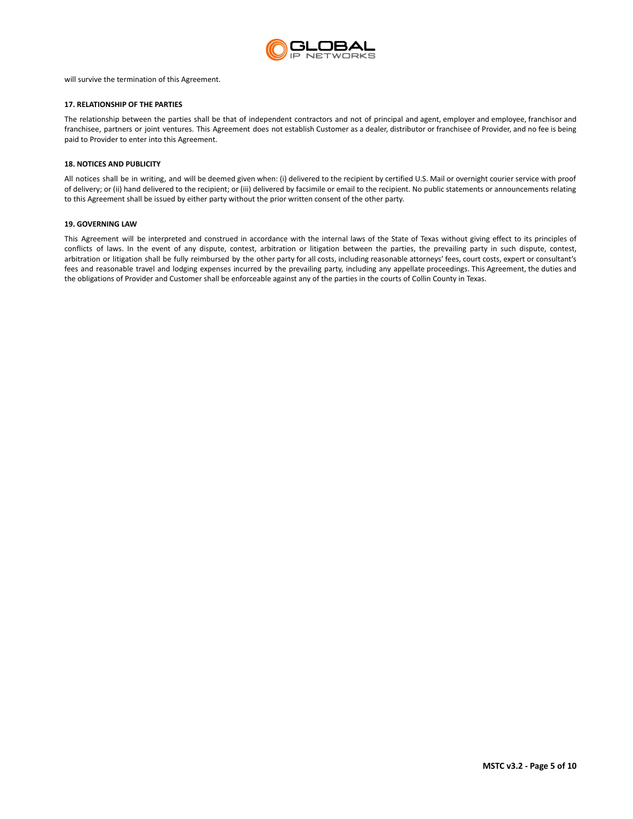

will survive the termination of this Agreement.

## **17. RELATIONSHIP OF THE PARTIES**

The relationship between the parties shall be that of independent contractors and not of principal and agent, employer and employee, franchisor and franchisee, partners or joint ventures. This Agreement does not establish Customer as a dealer, distributor or franchisee of Provider, and no fee is being paid to Provider to enter into this Agreement.

## **18. NOTICES AND PUBLICITY**

All notices shall be in writing, and will be deemed given when: (i) delivered to the recipient by certified U.S. Mail or overnight courier service with proof of delivery; or (ii) hand delivered to the recipient; or (iii) delivered by facsimile or email to the recipient. No public statements or announcements relating to this Agreement shall be issued by either party without the prior written consent of the other party.

## **19. GOVERNING LAW**

This Agreement will be interpreted and construed in accordance with the internal laws of the State of Texas without giving effect to its principles of conflicts of laws. In the event of any dispute, contest, arbitration or litigation between the parties, the prevailing party in such dispute, contest, arbitration or litigation shall be fully reimbursed by the other party for all costs, including reasonable attorneys' fees, court costs, expert or consultant's fees and reasonable travel and lodging expenses incurred by the prevailing party, including any appellate proceedings. This Agreement, the duties and the obligations of Provider and Customer shall be enforceable against any of the parties in the courts of Collin County in Texas.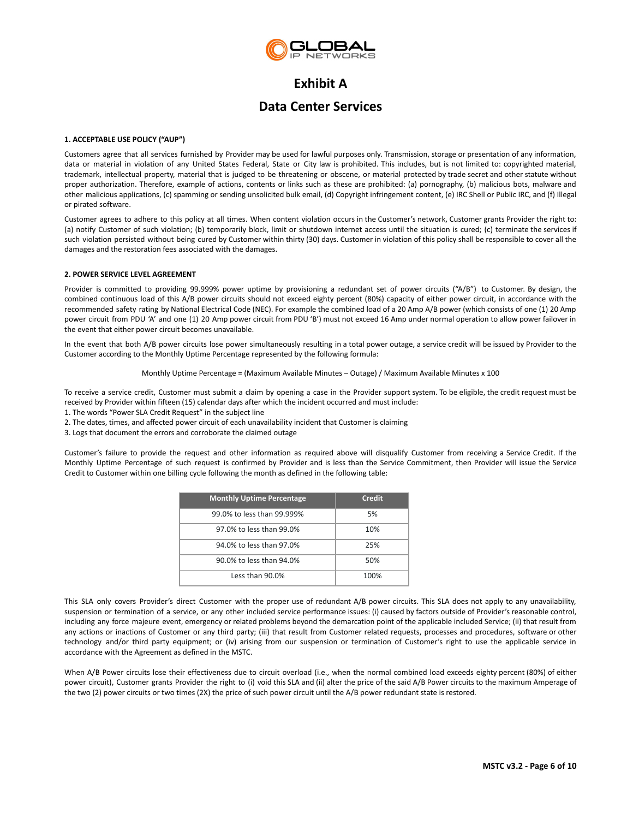

# **Exhibit A**

# **Data Center Services**

## <span id="page-5-0"></span>**1. ACCEPTABLE USE POLICY ("AUP")**

Customers agree that all services furnished by Provider may be used for lawful purposes only. Transmission, storage or presentation of any information, data or material in violation of any United States Federal, State or City law is prohibited. This includes, but is not limited to: copyrighted material, trademark, intellectual property, material that is judged to be threatening or obscene, or material protected by trade secret and other statute without proper authorization. Therefore, example of actions, contents or links such as these are prohibited: (a) pornography, (b) malicious bots, malware and other malicious applications, (c) spamming or sending unsolicited bulk email, (d) Copyright infringement content, (e) IRC Shell or Public IRC, and (f) Illegal or pirated software.

Customer agrees to adhere to this policy at all times. When content violation occurs in the Customer's network, Customer grants Provider the right to: (a) notify Customer of such violation; (b) temporarily block, limit or shutdown internet access until the situation is cured; (c) terminate the services if such violation persisted without being cured by Customer within thirty (30) days. Customer in violation of this policy shall be responsible to cover all the damages and the restoration fees associated with the damages.

## **2. POWER SERVICE LEVEL AGREEMENT**

Provider is committed to providing 99.999% power uptime by provisioning a redundant set of power circuits ("A/B") to Customer. By design, the combined continuous load of this A/B power circuits should not exceed eighty percent (80%) capacity of either power circuit, in accordance with the recommended safety rating by National Electrical Code (NEC). For example the combined load of a 20 Amp A/B power (which consists of one (1) 20 Amp power circuit from PDU 'A' and one (1) 20 Amp power circuit from PDU 'B') must not exceed 16 Amp under normal operation to allow power failover in the event that either power circuit becomes unavailable.

In the event that both A/B power circuits lose power simultaneously resulting in a total power outage, a service credit will be issued by Provider to the Customer according to the Monthly Uptime Percentage represented by the following formula:

## Monthly Uptime Percentage = (Maximum Available Minutes – Outage) / Maximum Available Minutes x 100

To receive a service credit, Customer must submit a claim by opening a case in the Provider support system. To be eligible, the credit request must be received by Provider within fifteen (15) calendar days after which the incident occurred and must include:

- 1. The words "Power SLA Credit Request" in the subject line
- 2. The dates, times, and affected power circuit of each unavailability incident that Customer is claiming
- 3. Logs that document the errors and corroborate the claimed outage

Customer's failure to provide the request and other information as required above will disqualify Customer from receiving a Service Credit. If the Monthly Uptime Percentage of such request is confirmed by Provider and is less than the Service Commitment, then Provider will issue the Service Credit to Customer within one billing cycle following the month as defined in the following table:

| <b>Monthly Uptime Percentage</b> | Credit |
|----------------------------------|--------|
| 99.0% to less than 99.999%       | 5%     |
| 97.0% to less than 99.0%         | 10%    |
| 94.0% to less than 97.0%         | 25%    |
| 90.0% to less than 94.0%         | 50%    |
| Less than $90.0\%$               | 100%   |

This SLA only covers Provider's direct Customer with the proper use of redundant A/B power circuits. This SLA does not apply to any unavailability, suspension or termination of a service, or any other included service performance issues: (i) caused by factors outside of Provider's reasonable control, including any force majeure event, emergency or related problems beyond the demarcation point of the applicable included Service; (ii) that result from any actions or inactions of Customer or any third party; (iii) that result from Customer related requests, processes and procedures, software or other technology and/or third party equipment; or (iv) arising from our suspension or termination of Customer's right to use the applicable service in accordance with the Agreement as defined in the MSTC.

When A/B Power circuits lose their effectiveness due to circuit overload (i.e., when the normal combined load exceeds eighty percent (80%) of either power circuit), Customer grants Provider the right to (i) void this SLA and (ii) alter the price of the said A/B Power circuits to the maximum Amperage of the two (2) power circuits or two times (2X) the price of such power circuit until the A/B power redundant state is restored.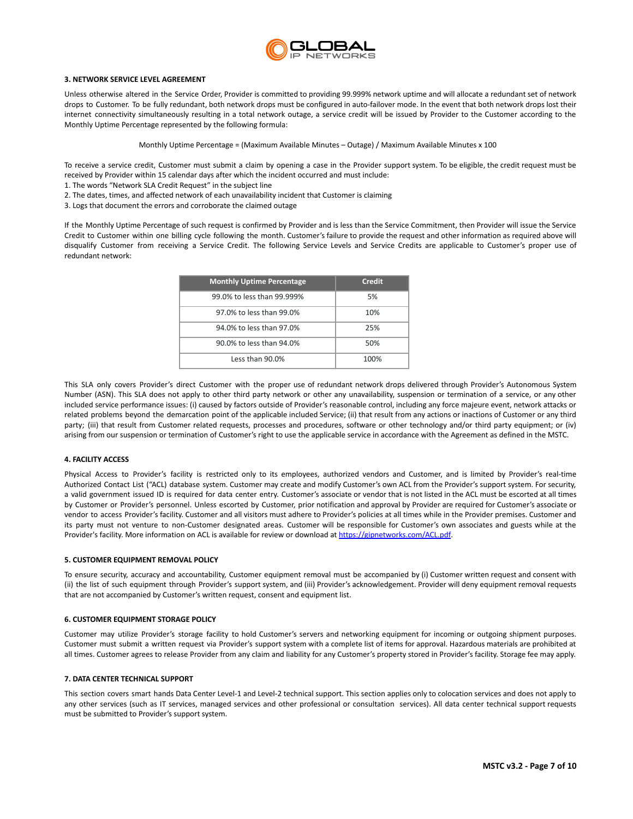

## **3. NETWORK SERVICE LEVEL AGREEMENT**

Unless otherwise altered in the Service Order, Provider is committed to providing 99.999% network uptime and will allocate a redundant set of network drops to Customer. To be fully redundant, both network drops must be configured in auto-failover mode. In the event that both network drops lost their internet connectivity simultaneously resulting in a total network outage, a service credit will be issued by Provider to the Customer according to the Monthly Uptime Percentage represented by the following formula:

Monthly Uptime Percentage = (Maximum Available Minutes – Outage) / Maximum Available Minutes x 100

To receive a service credit, Customer must submit a claim by opening a case in the Provider support system. To be eligible, the credit request must be received by Provider within 15 calendar days after which the incident occurred and must include:

- 1. The words "Network SLA Credit Request" in the subject line
- 2. The dates, times, and affected network of each unavailability incident that Customer is claiming
- 3. Logs that document the errors and corroborate the claimed outage

If the Monthly Uptime Percentage of such request is confirmed by Provider and is less than the Service Commitment, then Provider will issue the Service Credit to Customer within one billing cycle following the month. Customer's failure to provide the request and other information as required above will disqualify Customer from receiving a Service Credit. The following Service Levels and Service Credits are applicable to Customer's proper use of redundant network:

| <b>Monthly Uptime Percentage</b> | Credit |
|----------------------------------|--------|
| 99.0% to less than 99.999%       | 5%     |
| 97.0% to less than 99.0%         | 10%    |
| 94.0% to less than 97.0%         | 25%    |
| 90.0% to less than 94.0%         | 50%    |
| Less than 90.0%                  | 100%   |

This SLA only covers Provider's direct Customer with the proper use of redundant network drops delivered through Provider's Autonomous System Number (ASN). This SLA does not apply to other third party network or other any unavailability, suspension or termination of a service, or any other included service performance issues: (i) caused by factors outside of Provider's reasonable control, including any force majeure event, network attacks or related problems beyond the demarcation point of the applicable included Service; (ii) that result from any actions or inactions of Customer or any third party; (iii) that result from Customer related requests, processes and procedures, software or other technology and/or third party equipment; or (iv) arising from our suspension or termination of Customer's right to use the applicable service in accordance with the Agreement as defined in the MSTC.

## **4. FACILITY ACCESS**

Physical Access to Provider's facility is restricted only to its employees, authorized vendors and Customer, and is limited by Provider's real-time Authorized Contact List ("ACL) database system. Customer may create and modify Customer's own ACL from the Provider's support system. For security, a valid government issued ID is required for data center entry. Customer's associate or vendor that is not listed in the ACL must be escorted at all times by Customer or Provider's personnel. Unless escorted by Customer, prior notification and approval by Provider are required for Customer's associate or vendor to access Provider's facility. Customer and all visitors must adhere to Provider's policies at all times while in the Provider premises. Customer and its party must not venture to non-Customer designated areas. Customer will be responsible for Customer's own associates and guests while at the Provider's facility. More information on ACL is available for review or download at <https://gipnetworks.com/ACL.pdf>.

#### **5. CUSTOMER EQUIPMENT REMOVAL POLICY**

To ensure security, accuracy and accountability, Customer equipment removal must be accompanied by (i) Customer written request and consent with (ii) the list of such equipment through Provider's support system, and (iii) Provider's acknowledgement. Provider will deny equipment removal requests that are not accompanied by Customer's written request, consent and equipment list.

#### **6. CUSTOMER EQUIPMENT STORAGE POLICY**

Customer may utilize Provider's storage facility to hold Customer's servers and networking equipment for incoming or outgoing shipment purposes. Customer must submit a written request via Provider's support system with a complete list of items for approval. Hazardous materials are prohibited at all times. Customer agrees to release Provider from any claim and liability for any Customer's property stored in Provider's facility. Storage fee may apply.

#### **7. DATA CENTER TECHNICAL SUPPORT**

This section covers smart hands Data Center Level-1 and Level-2 technical support. This section applies only to colocation services and does not apply to any other services (such as IT services, managed services and other professional or consultation services). All data center technical support requests must be submitted to Provider's support system.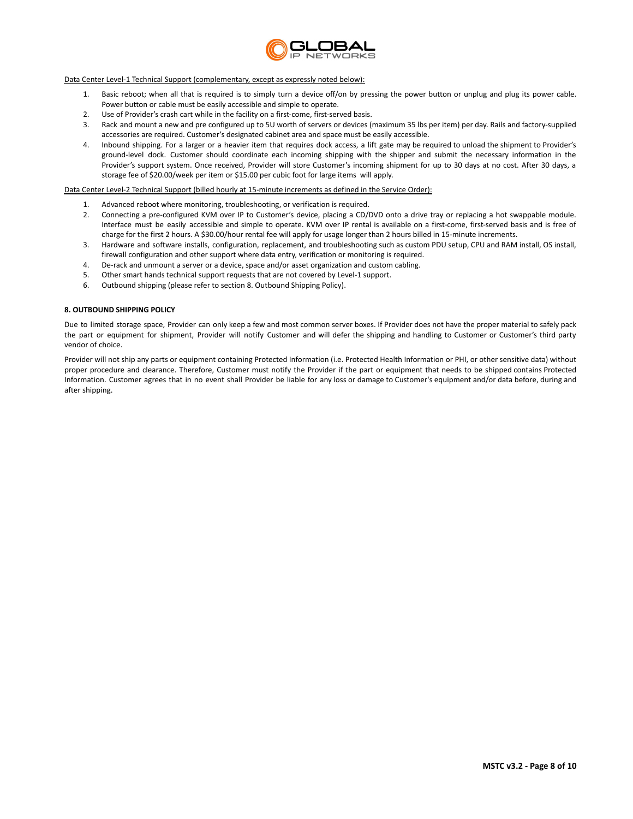

## Data Center Level-1 Technical Support (complementary, except as expressly noted below):

- 1. Basic reboot; when all that is required is to simply turn a device off/on by pressing the power button or unplug and plug its power cable. Power button or cable must be easily accessible and simple to operate.
- 2. Use of Provider's crash cart while in the facility on a first-come, first-served basis.
- 3. Rack and mount a new and pre configured up to 5U worth of servers or devices (maximum 35 lbs per item) per day. Rails and factory-supplied accessories are required. Customer's designated cabinet area and space must be easily accessible.
- 4. Inbound shipping. For a larger or a heavier item that requires dock access, a lift gate may be required to unload the shipment to Provider's ground-level dock. Customer should coordinate each incoming shipping with the shipper and submit the necessary information in the Provider's support system. Once received, Provider will store Customer's incoming shipment for up to 30 days at no cost. After 30 days, a storage fee of \$20.00/week per item or \$15.00 per cubic foot for large items will apply.

## Data Center Level-2 Technical Support (billed hourly at 15-minute increments as defined in the Service Order):

- 1. Advanced reboot where monitoring, troubleshooting, or verification is required.
- 2. Connecting a pre-configured KVM over IP to Customer's device, placing a CD/DVD onto a drive tray or replacing a hot swappable module. Interface must be easily accessible and simple to operate. KVM over IP rental is available on a first-come, first-served basis and is free of charge for the first 2 hours. A \$30.00/hour rental fee will apply for usage longer than 2 hours billed in 15-minute increments.
- 3. Hardware and software installs, configuration, replacement, and troubleshooting such as custom PDU setup, CPU and RAM install, OS install, firewall configuration and other support where data entry, verification or monitoring is required.
- 4. De-rack and unmount a server or a device, space and/or asset organization and custom cabling.
- 5. Other smart hands technical support requests that are not covered by Level-1 support.
- 6. Outbound shipping (please refer to section 8. Outbound Shipping Policy).

## **8. OUTBOUND SHIPPING POLICY**

Due to limited storage space, Provider can only keep a few and most common server boxes. If Provider does not have the proper material to safely pack the part or equipment for shipment, Provider will notify Customer and will defer the shipping and handling to Customer or Customer's third party vendor of choice.

Provider will not ship any parts or equipment containing Protected Information (i.e. Protected Health Information or PHI, or other sensitive data) without proper procedure and clearance. Therefore, Customer must notify the Provider if the part or equipment that needs to be shipped contains Protected Information. Customer agrees that in no event shall Provider be liable for any loss or damage to Customer's equipment and/or data before, during and after shipping.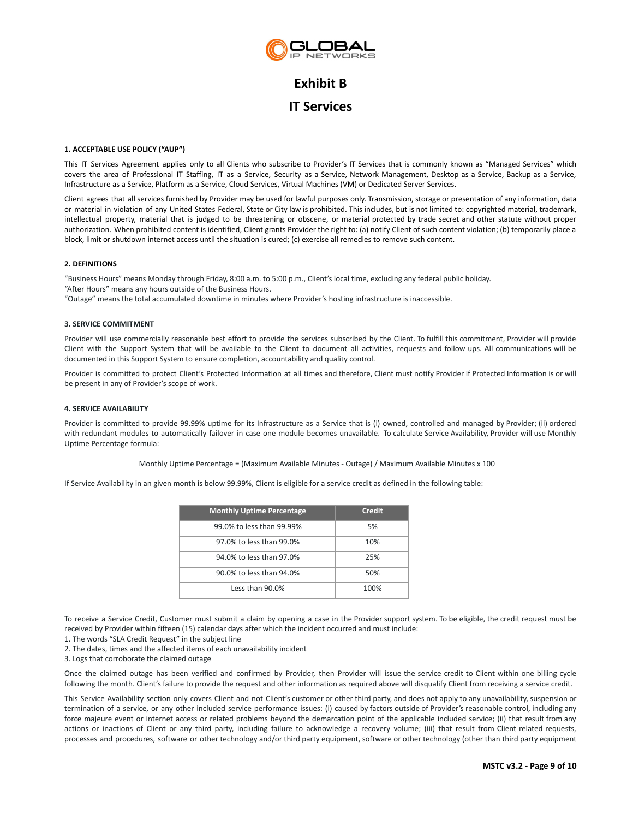

# **Exhibit B IT Services**

## **1. ACCEPTABLE USE POLICY ("AUP")**

This IT Services Agreement applies only to all Clients who subscribe to Provider's IT Services that is commonly known as "Managed Services" which covers the area of Professional IT Staffing, IT as a Service, Security as a Service, Network Management, Desktop as a Service, Backup as a Service, Infrastructure as a Service, Platform as a Service, Cloud Services, Virtual Machines (VM) or Dedicated Server Services.

Client agrees that all services furnished by Provider may be used for lawful purposes only. Transmission, storage or presentation of any information, data or material in violation of any United States Federal, State or City law is prohibited. This includes, but is not limited to: copyrighted material, trademark, intellectual property, material that is judged to be threatening or obscene, or material protected by trade secret and other statute without proper authorization. When prohibited content is identified, Client grants Provider the right to: (a) notify Client of such content violation; (b) temporarily place a block, limit or shutdown internet access until the situation is cured; (c) exercise all remedies to remove such content.

## **2. DEFINITIONS**

"Business Hours" means Monday through Friday, 8:00 a.m. to 5:00 p.m., Client's local time, excluding any federal public holiday. "After Hours" means any hours outside of the Business Hours.

"Outage" means the total accumulated downtime in minutes where Provider's hosting infrastructure is inaccessible.

## **3. SERVICE COMMITMENT**

Provider will use commercially reasonable best effort to provide the services subscribed by the Client. To fulfill this commitment, Provider will provide Client with the Support System that will be available to the Client to document all activities, requests and follow ups. All communications will be documented in this Support System to ensure completion, accountability and quality control.

Provider is committed to protect Client's Protected Information at all times and therefore, Client must notify Provider if Protected Information is or will be present in any of Provider's scope of work.

## **4. SERVICE AVAILABILITY**

Provider is committed to provide 99.99% uptime for its Infrastructure as a Service that is (i) owned, controlled and managed by Provider; (ii) ordered with redundant modules to automatically failover in case one module becomes unavailable. To calculate Service Availability, Provider will use Monthly Uptime Percentage formula:

Monthly Uptime Percentage = (Maximum Available Minutes - Outage) / Maximum Available Minutes x 100

If Service Availability in an given month is below 99.99%, Client is eligible for a service credit as defined in the following table:

| <b>Monthly Uptime Percentage</b> | Credit |
|----------------------------------|--------|
| 99.0% to less than 99.99%        | .5%    |
| 97.0% to less than 99.0%         | 10%    |
| 94.0% to less than 97.0%         | 25%    |
| 90.0% to less than 94.0%         | 50%    |
| Less than 90.0%                  | 100%   |

To receive a Service Credit, Customer must submit a claim by opening a case in the Provider support system. To be eligible, the credit request must be received by Provider within fifteen (15) calendar days after which the incident occurred and must include:

1. The words "SLA Credit Request" in the subject line

2. The dates, times and the affected items of each unavailability incident

3. Logs that corroborate the claimed outage

Once the claimed outage has been verified and confirmed by Provider, then Provider will issue the service credit to Client within one billing cycle following the month. Client's failure to provide the request and other information as required above will disqualify Client from receiving a service credit.

This Service Availability section only covers Client and not Client's customer or other third party, and does not apply to any unavailability, suspension or termination of a service, or any other included service performance issues: (i) caused by factors outside of Provider's reasonable control, including any force majeure event or internet access or related problems beyond the demarcation point of the applicable included service; (ii) that result from any actions or inactions of Client or any third party, including failure to acknowledge a recovery volume; (iii) that result from Client related requests, processes and procedures, software or other technology and/or third party equipment, software or other technology (other than third party equipment